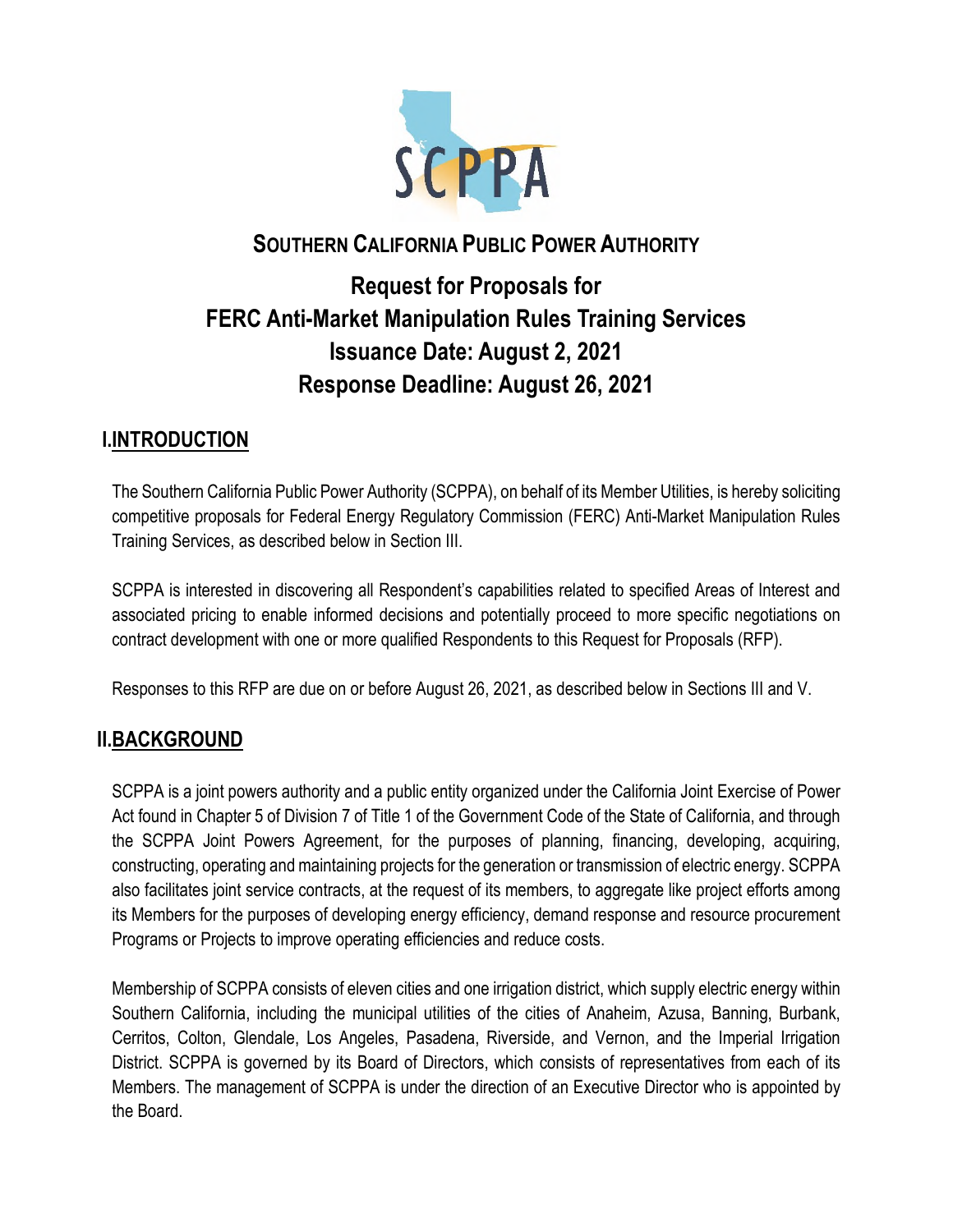

## **SOUTHERN CALIFORNIA PUBLIC POWER AUTHORITY**

# **Request for Proposals for FERC Anti-Market Manipulation Rules Training Services Issuance Date: August 2, 2021 Response Deadline: August 26, 2021**

## **I.INTRODUCTION**

The Southern California Public Power Authority (SCPPA), on behalf of its Member Utilities, is hereby soliciting competitive proposals for Federal Energy Regulatory Commission (FERC) Anti-Market Manipulation Rules Training Services, as described below in Section III.

SCPPA is interested in discovering all Respondent's capabilities related to specified Areas of Interest and associated pricing to enable informed decisions and potentially proceed to more specific negotiations on contract development with one or more qualified Respondents to this Request for Proposals (RFP).

Responses to this RFP are due on or before August 26, 2021, as described below in Sections III and V.

## **II.BACKGROUND**

SCPPA is a joint powers authority and a public entity organized under the California Joint Exercise of Power Act found in Chapter 5 of Division 7 of Title 1 of the Government Code of the State of California, and through the SCPPA Joint Powers Agreement, for the purposes of planning, financing, developing, acquiring, constructing, operating and maintaining projects for the generation or transmission of electric energy. SCPPA also facilitates joint service contracts, at the request of its members, to aggregate like project efforts among its Members for the purposes of developing energy efficiency, demand response and resource procurement Programs or Projects to improve operating efficiencies and reduce costs.

Membership of SCPPA consists of eleven cities and one irrigation district, which supply electric energy within Southern California, including the municipal utilities of the cities of Anaheim, Azusa, Banning, Burbank, Cerritos, Colton, Glendale, Los Angeles, Pasadena, Riverside, and Vernon, and the Imperial Irrigation District. SCPPA is governed by its Board of Directors, which consists of representatives from each of its Members. The management of SCPPA is under the direction of an Executive Director who is appointed by the Board.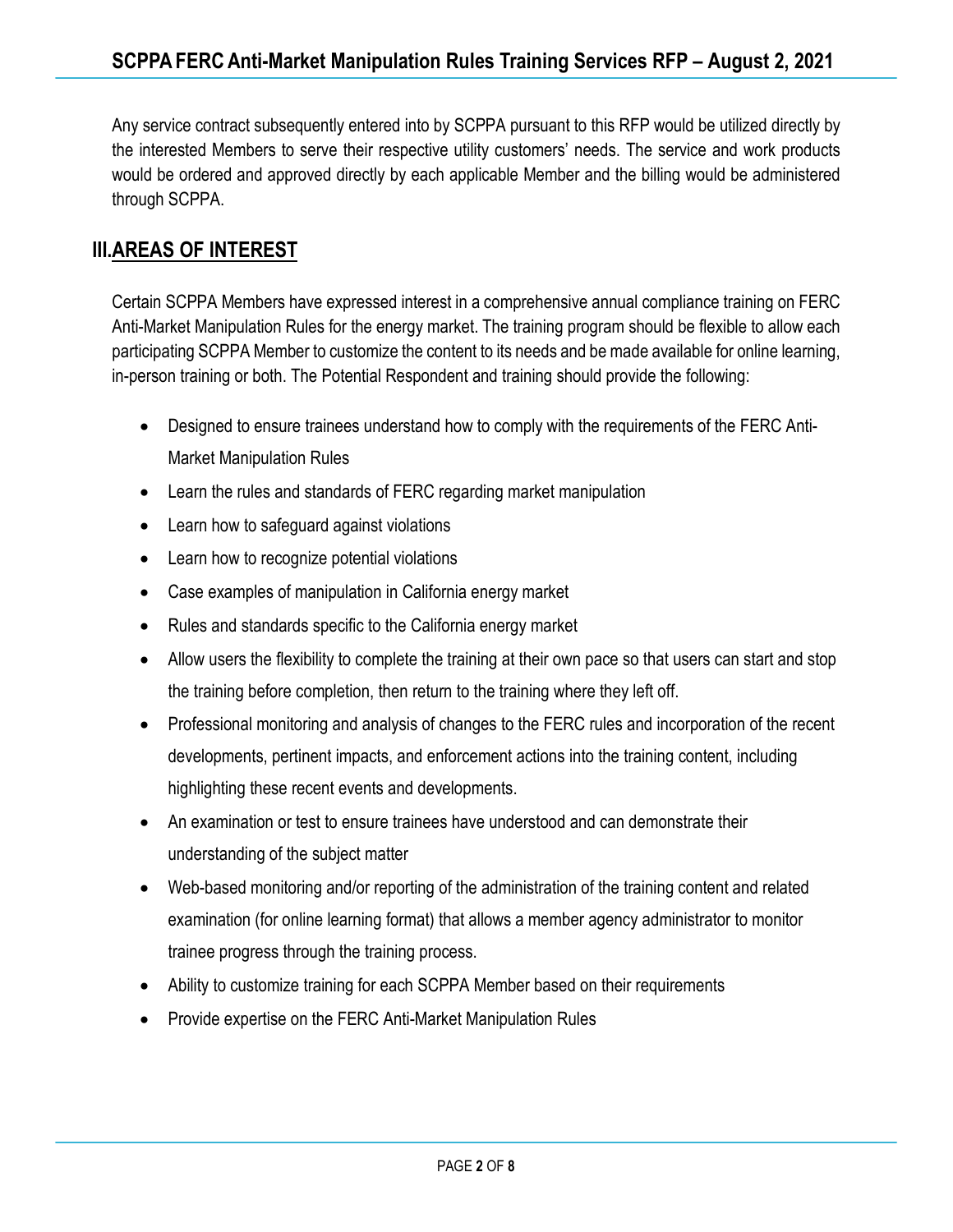Any service contract subsequently entered into by SCPPA pursuant to this RFP would be utilized directly by the interested Members to serve their respective utility customers' needs. The service and work products would be ordered and approved directly by each applicable Member and the billing would be administered through SCPPA.

## **III.AREAS OF INTEREST**

Certain SCPPA Members have expressed interest in a comprehensive annual compliance training on FERC Anti-Market Manipulation Rules for the energy market. The training program should be flexible to allow each participating SCPPA Member to customize the content to its needs and be made available for online learning, in-person training or both. The Potential Respondent and training should provide the following:

- Designed to ensure trainees understand how to comply with the requirements of the FERC Anti-Market Manipulation Rules
- Learn the rules and standards of FERC regarding market manipulation
- Learn how to safeguard against violations
- Learn how to recognize potential violations
- Case examples of manipulation in California energy market
- Rules and standards specific to the California energy market
- Allow users the flexibility to complete the training at their own pace so that users can start and stop the training before completion, then return to the training where they left off.
- Professional monitoring and analysis of changes to the FERC rules and incorporation of the recent developments, pertinent impacts, and enforcement actions into the training content, including highlighting these recent events and developments.
- An examination or test to ensure trainees have understood and can demonstrate their understanding of the subject matter
- Web-based monitoring and/or reporting of the administration of the training content and related examination (for online learning format) that allows a member agency administrator to monitor trainee progress through the training process.
- Ability to customize training for each SCPPA Member based on their requirements
- Provide expertise on the FERC Anti-Market Manipulation Rules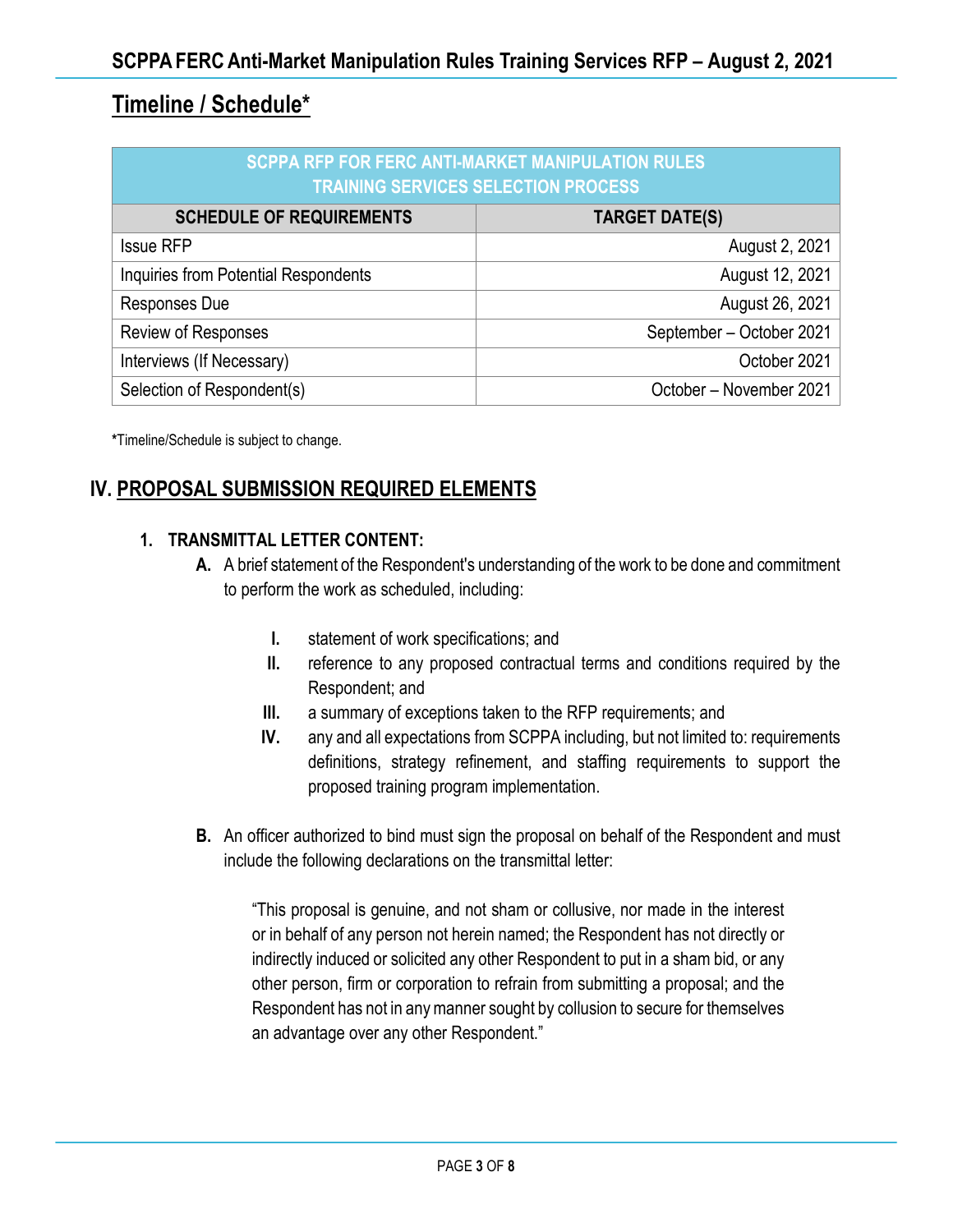## **Timeline / Schedule\***

| <b>SCPPA RFP FOR FERC ANTI-MARKET MANIPULATION RULES</b><br><b>TRAINING SERVICES SELECTION PROCESS</b> |                          |
|--------------------------------------------------------------------------------------------------------|--------------------------|
| <b>SCHEDULE OF REQUIREMENTS</b>                                                                        | <b>TARGET DATE(S)</b>    |
| <b>Issue RFP</b>                                                                                       | August 2, 2021           |
| Inquiries from Potential Respondents                                                                   | August 12, 2021          |
| Responses Due                                                                                          | August 26, 2021          |
| Review of Responses                                                                                    | September - October 2021 |
| Interviews (If Necessary)                                                                              | October 2021             |
| Selection of Respondent(s)                                                                             | October - November 2021  |

**\***Timeline/Schedule is subject to change.

## **IV. PROPOSAL SUBMISSION REQUIRED ELEMENTS**

#### **1. TRANSMITTAL LETTER CONTENT:**

- **A.** A brief statement of the Respondent's understanding of the work to be done and commitment to perform the work as scheduled, including:
	- **I.** statement of work specifications; and
	- **II.** reference to any proposed contractual terms and conditions required by the Respondent; and
	- **III.** a summary of exceptions taken to the RFP requirements; and
	- **IV.** any and all expectations from SCPPA including, but not limited to: requirements definitions, strategy refinement, and staffing requirements to support the proposed training program implementation.
- **B.** An officer authorized to bind must sign the proposal on behalf of the Respondent and must include the following declarations on the transmittal letter:

"This proposal is genuine, and not sham or collusive, nor made in the interest or in behalf of any person not herein named; the Respondent has not directly or indirectly induced or solicited any other Respondent to put in a sham bid, or any other person, firm or corporation to refrain from submitting a proposal; and the Respondent has not in any manner sought by collusion to secure for themselves an advantage over any other Respondent."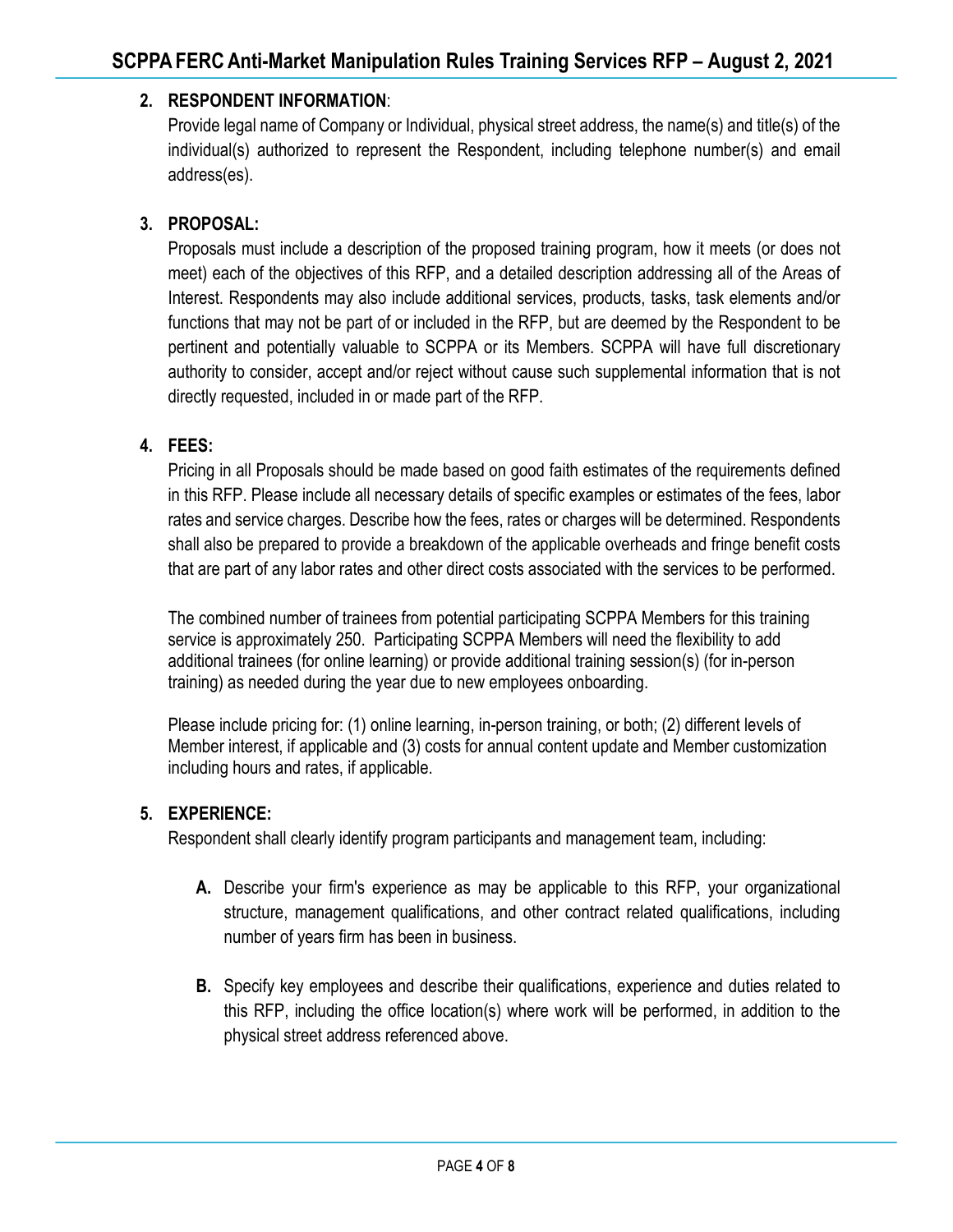## **2. RESPONDENT INFORMATION**:

Provide legal name of Company or Individual, physical street address, the name(s) and title(s) of the individual(s) authorized to represent the Respondent, including telephone number(s) and email address(es).

#### **3. PROPOSAL:**

Proposals must include a description of the proposed training program, how it meets (or does not meet) each of the objectives of this RFP, and a detailed description addressing all of the Areas of Interest. Respondents may also include additional services, products, tasks, task elements and/or functions that may not be part of or included in the RFP, but are deemed by the Respondent to be pertinent and potentially valuable to SCPPA or its Members. SCPPA will have full discretionary authority to consider, accept and/or reject without cause such supplemental information that is not directly requested, included in or made part of the RFP.

#### **4. FEES:**

Pricing in all Proposals should be made based on good faith estimates of the requirements defined in this RFP. Please include all necessary details of specific examples or estimates of the fees, labor rates and service charges. Describe how the fees, rates or charges will be determined. Respondents shall also be prepared to provide a breakdown of the applicable overheads and fringe benefit costs that are part of any labor rates and other direct costs associated with the services to be performed.

The combined number of trainees from potential participating SCPPA Members for this training service is approximately 250. Participating SCPPA Members will need the flexibility to add additional trainees (for online learning) or provide additional training session(s) (for in-person training) as needed during the year due to new employees onboarding.

Please include pricing for: (1) online learning, in-person training, or both; (2) different levels of Member interest, if applicable and (3) costs for annual content update and Member customization including hours and rates, if applicable.

#### **5. EXPERIENCE:**

Respondent shall clearly identify program participants and management team, including:

- **A.** Describe your firm's experience as may be applicable to this RFP, your organizational structure, management qualifications, and other contract related qualifications, including number of years firm has been in business.
- **B.** Specify key employees and describe their qualifications, experience and duties related to this RFP, including the office location(s) where work will be performed, in addition to the physical street address referenced above.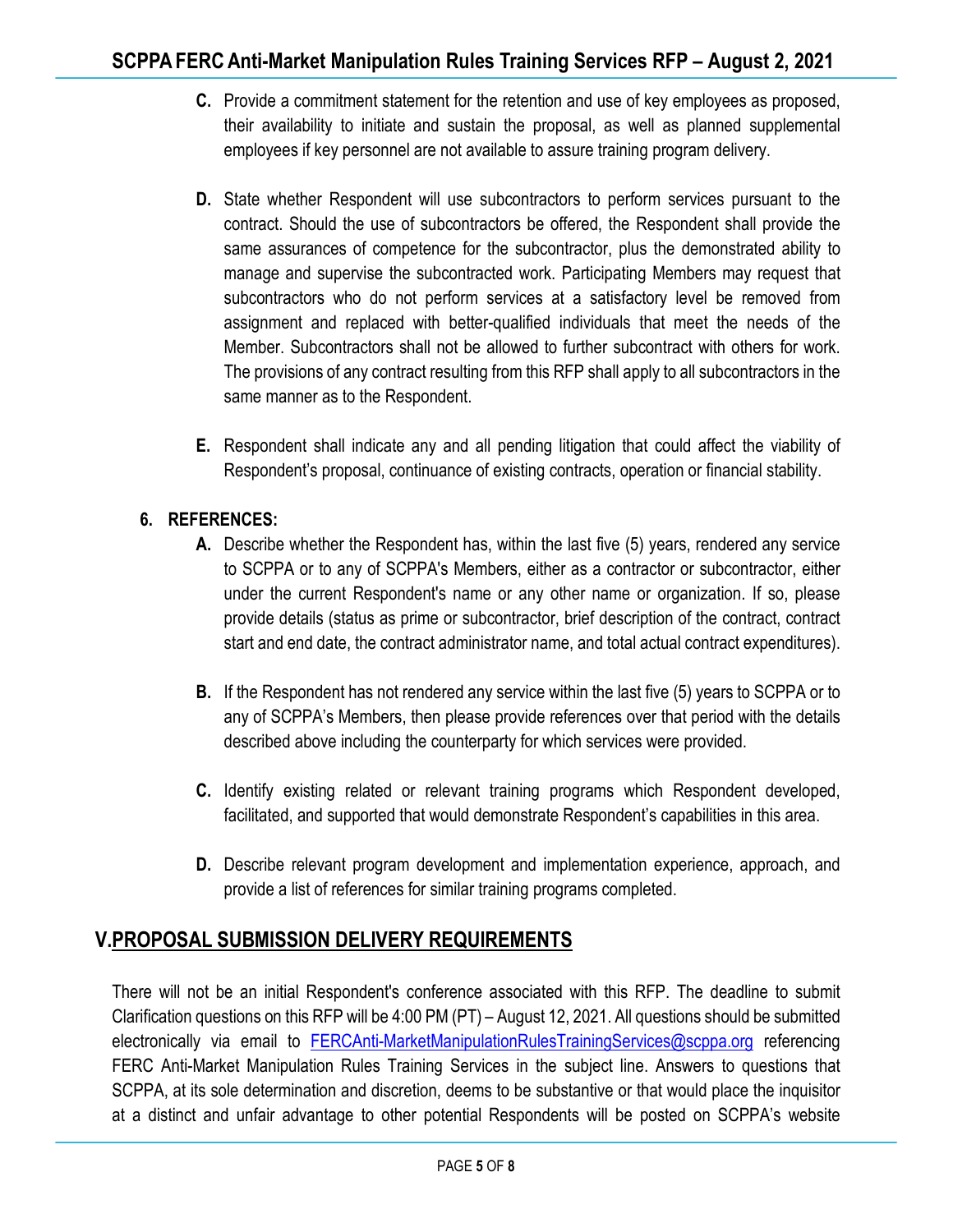- **C.** Provide a commitment statement for the retention and use of key employees as proposed, their availability to initiate and sustain the proposal, as well as planned supplemental employees if key personnel are not available to assure training program delivery.
- **D.** State whether Respondent will use subcontractors to perform services pursuant to the contract. Should the use of subcontractors be offered, the Respondent shall provide the same assurances of competence for the subcontractor, plus the demonstrated ability to manage and supervise the subcontracted work. Participating Members may request that subcontractors who do not perform services at a satisfactory level be removed from assignment and replaced with better-qualified individuals that meet the needs of the Member. Subcontractors shall not be allowed to further subcontract with others for work. The provisions of any contract resulting from this RFP shall apply to all subcontractors in the same manner as to the Respondent.
- **E.** Respondent shall indicate any and all pending litigation that could affect the viability of Respondent's proposal, continuance of existing contracts, operation or financial stability.

## **6. REFERENCES:**

- **A.** Describe whether the Respondent has, within the last five (5) years, rendered any service to SCPPA or to any of SCPPA's Members, either as a contractor or subcontractor, either under the current Respondent's name or any other name or organization. If so, please provide details (status as prime or subcontractor, brief description of the contract, contract start and end date, the contract administrator name, and total actual contract expenditures).
- **B.** If the Respondent has not rendered any service within the last five (5) years to SCPPA or to any of SCPPA's Members, then please provide references over that period with the details described above including the counterparty for which services were provided.
- **C.** Identify existing related or relevant training programs which Respondent developed, facilitated, and supported that would demonstrate Respondent's capabilities in this area.
- **D.** Describe relevant program development and implementation experience, approach, and provide a list of references for similar training programs completed.

## **V.PROPOSAL SUBMISSION DELIVERY REQUIREMENTS**

There will not be an initial Respondent's conference associated with this RFP. The deadline to submit Clarification questions on this RFP will be 4:00 PM (PT) – August 12, 2021. All questions should be submitted electronically via email to FERCAnti-MarketManipulationRulesTrainingServices@scppa.org referencing FERC Anti-Market Manipulation Rules Training Services in the subject line. Answers to questions that SCPPA, at its sole determination and discretion, deems to be substantive or that would place the inquisitor at a distinct and unfair advantage to other potential Respondents will be posted on SCPPA's website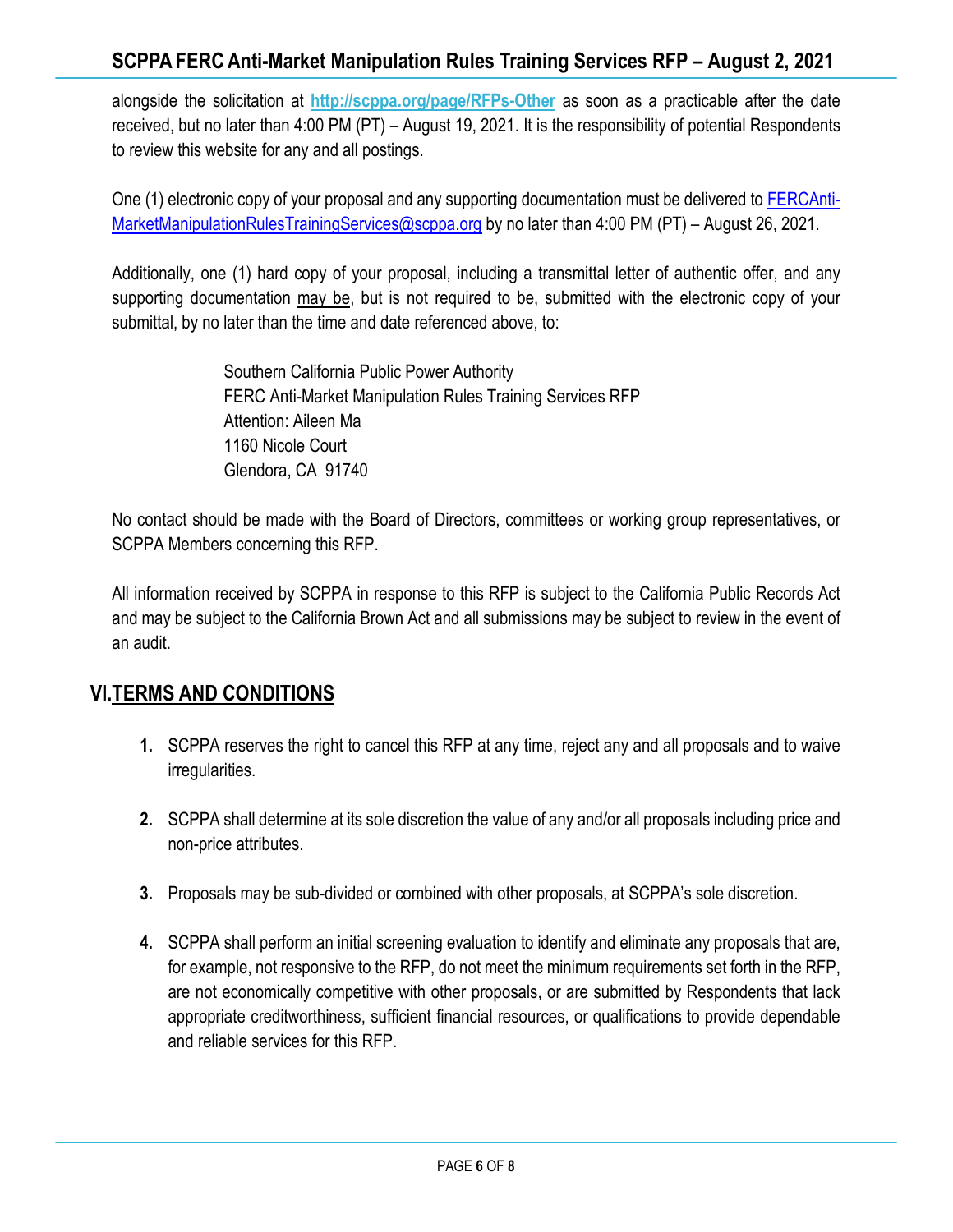## **SCPPAFERC Anti-Market Manipulation Rules Training Services RFP – August 2, 2021**

alongside the solicitation at **http://scppa.org/page/RFPs-Other** as soon as a practicable after the date received, but no later than 4:00 PM (PT) – August 19, 2021. It is the responsibility of potential Respondents to review this website for any and all postings.

One (1) electronic copy of your proposal and any supporting documentation must be delivered to FERCAnti-MarketManipulationRulesTrainingServices@scppa.org by no later than 4:00 PM (PT) – August 26, 2021.

Additionally, one (1) hard copy of your proposal, including a transmittal letter of authentic offer, and any supporting documentation may be, but is not required to be, submitted with the electronic copy of your submittal, by no later than the time and date referenced above, to:

> Southern California Public Power Authority FERC Anti-Market Manipulation Rules Training Services RFP Attention: Aileen Ma 1160 Nicole Court Glendora, CA 91740

No contact should be made with the Board of Directors, committees or working group representatives, or SCPPA Members concerning this RFP.

All information received by SCPPA in response to this RFP is subject to the California Public Records Act and may be subject to the California Brown Act and all submissions may be subject to review in the event of an audit.

## **VI.TERMS AND CONDITIONS**

- **1.** SCPPA reserves the right to cancel this RFP at any time, reject any and all proposals and to waive irregularities.
- **2.** SCPPA shall determine at its sole discretion the value of any and/or all proposals including price and non-price attributes.
- **3.** Proposals may be sub-divided or combined with other proposals, at SCPPA's sole discretion.
- **4.** SCPPA shall perform an initial screening evaluation to identify and eliminate any proposals that are, for example, not responsive to the RFP, do not meet the minimum requirements set forth in the RFP, are not economically competitive with other proposals, or are submitted by Respondents that lack appropriate creditworthiness, sufficient financial resources, or qualifications to provide dependable and reliable services for this RFP.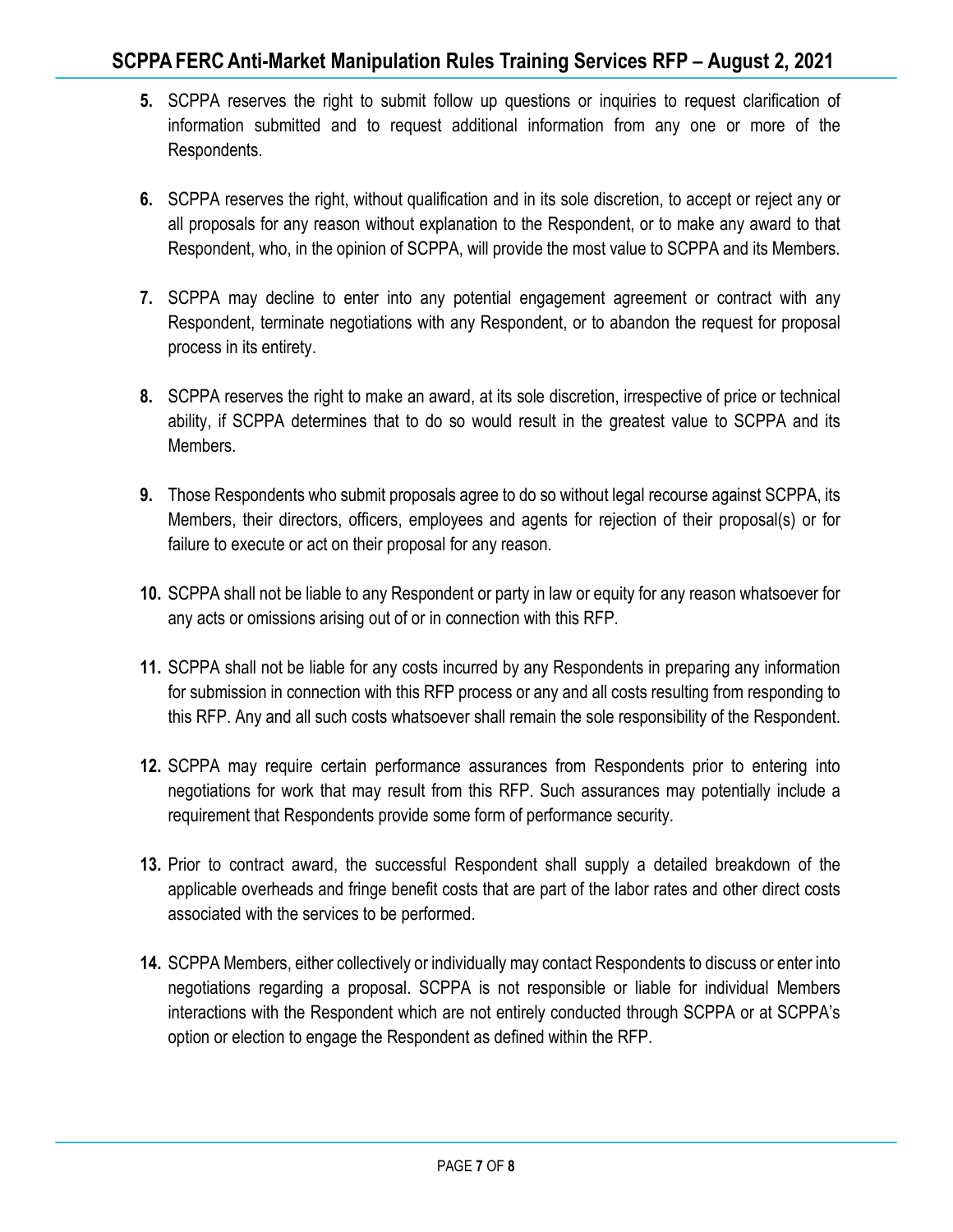- **5.** SCPPA reserves the right to submit follow up questions or inquiries to request clarification of information submitted and to request additional information from any one or more of the Respondents.
- **6.** SCPPA reserves the right, without qualification and in its sole discretion, to accept or reject any or all proposals for any reason without explanation to the Respondent, or to make any award to that Respondent, who, in the opinion of SCPPA, will provide the most value to SCPPA and its Members.
- **7.** SCPPA may decline to enter into any potential engagement agreement or contract with any Respondent, terminate negotiations with any Respondent, or to abandon the request for proposal process in its entirety.
- **8.** SCPPA reserves the right to make an award, at its sole discretion, irrespective of price or technical ability, if SCPPA determines that to do so would result in the greatest value to SCPPA and its Members.
- **9.** Those Respondents who submit proposals agree to do so without legal recourse against SCPPA, its Members, their directors, officers, employees and agents for rejection of their proposal(s) or for failure to execute or act on their proposal for any reason.
- **10.** SCPPA shall not be liable to any Respondent or party in law or equity for any reason whatsoever for any acts or omissions arising out of or in connection with this RFP.
- **11.** SCPPA shall not be liable for any costs incurred by any Respondents in preparing any information for submission in connection with this RFP process or any and all costs resulting from responding to this RFP. Any and all such costs whatsoever shall remain the sole responsibility of the Respondent.
- **12.** SCPPA may require certain performance assurances from Respondents prior to entering into negotiations for work that may result from this RFP. Such assurances may potentially include a requirement that Respondents provide some form of performance security.
- **13.** Prior to contract award, the successful Respondent shall supply a detailed breakdown of the applicable overheads and fringe benefit costs that are part of the labor rates and other direct costs associated with the services to be performed.
- **14.** SCPPA Members, either collectively or individually may contact Respondents to discuss or enter into negotiations regarding a proposal. SCPPA is not responsible or liable for individual Members interactions with the Respondent which are not entirely conducted through SCPPA or at SCPPA's option or election to engage the Respondent as defined within the RFP.